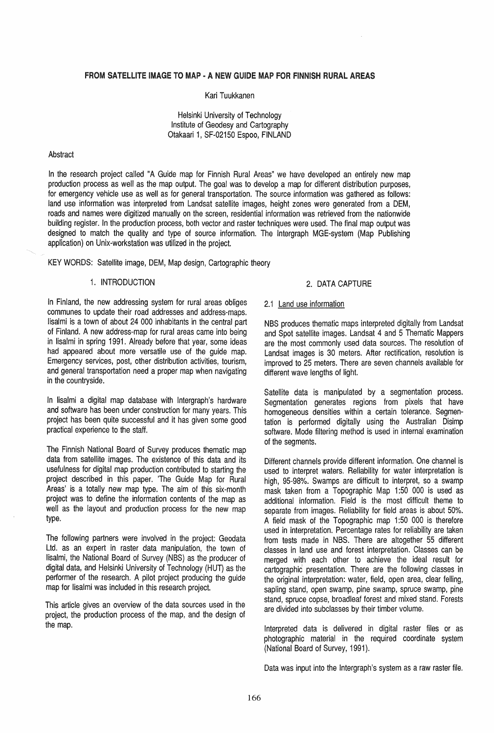#### FROM SATELLITE IMAGE TO MAP - A NEW GUIDE MAP FOR FINNISH RURAL AREAS

#### Kari Tuukkanen

Helsinki University of Technology Institute of Geodesy and Cartography Otakaari 1, SF-02150 Espoo, FINLAND

#### Abstract

In the research project called "A Guide map for Finnish Rural Areas" we have developed an entirely new map production process as well as the map output. The goal was to develop a map for different distribution purposes, for emergency vehicle use as well as for general transportation. The source information was gathered as follows: land use information was interpreted from Landsat satellite images, height zones were generated from a OEM, roads and names were digitized manually on the screen, residential information was retrieved from the nationwide building register. In the production process, both vector and raster techniques were used. The final map output was designed to match the quality and type of source information. The Intergraph MGE-system (Map Publishing application) on Unix-workstation was utilized in the project.

KEY WORDS: Satellite image, OEM, Map design, Cartographic theory

# 1. INTRODUCTION

In Finland, the new addressing system for rural areas obliges communes to update their road addresses and address-maps. lisalmi is a town of about 24 000 inhabitants in the central part of Finland. A new address-map for rural areas came into being in lisalmi in spring 1991. Already before that year, some ideas had appeared about more versatile use of the guide map. Emergency services, post, other distribution activities, tourism, and general transportation need a proper map when navigating in the countryside.

In lisalmi a digital map database with Intergraph's hardware and software has been under construction for many years. This project has been quite successful and it has given some good practical experience to the staff.

The Finnish National Board of Survey produces thematic map data from satellite images. The existence of this data and its usefulness for digital map production contributed to starting the project described in this paper. The Guide Map for Rural Areas' is a totally new map type. The aim of this six-month project was to define the information contents of the map as well as the layout and production process for the new map type.

The following partners were involved in the project: Geodata Ltd. as an expert in raster data manipulation, the town of lisalmi, the National Board of Survey (NBS) as the producer of digital data, and Helsinki University of Technology (HUT) as the performer of the research. A pilot project producing the guide map for lisalmi was included in this research project.

This article gives an overview of the data sources used in the project, the production process of the map, and the design of the map.

#### 2. DATA CAPTURE

#### 2.1 Land use information

NBS produces thematic maps interpreted digitally from Landsat and Spot satellite images. Landsat 4 and 5 Thematic Mappers are the most commonly used data sources. The resolution of Landsat images is 30 meters. After rectification, resolution is improved to 25 meters. There are seven channels available for different wave lengths of light.

Satellite data is manipulated by a segmentation process. Segmentation generates regions from pixels that have homogeneous densities within a certain tolerance. Segmentation is performed digitally using the Australian Disimp software. Mode filtering method is used in internal examination of the segments.

Different channels provide different information. One channel is used to interpret waters. Reliability for water interpretation is high, 95-98%. Swamps are difficult to interpret, so a swamp mask taken from a Topographic Map 1 :50 000 is used as additional information. Field is the most difficult theme to separate from images. Reliability for field areas is about 50%. A field mask of the Topographic map 1 :50 000 is therefore used in interpretation. Percentage rates for reliability are taken from tests made in NBS. There are altogether 55 different classes in land use and forest interpretation. Classes can be merged with each other to achieve the ideal result for cartographic presentation. There are the following classes in the original interpretation: water, field, open area, clear felling, sapling stand, open swamp, pine swamp, spruce swamp, pine stand, spruce copse, broadleaf forest and mixed stand. Forests are divided into subclasses by their timber volume.

Interpreted data is delivered in digital raster files or as photographic material in the required coordinate system (National Board of Survey, 1991).

Data was input into the Intergraph's system as a raw raster file.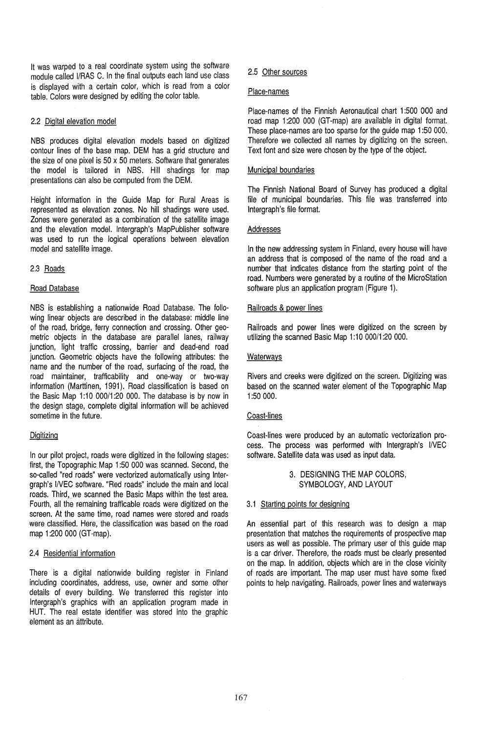It was warped to a real coordinate system using the software module called I/RAS C. In the final outputs each land use class is displayed with a certain color, which is read from a color table. Colors were designed by editing the color table.

# 2.2 Digital elevation model

NBS produces digital elevation models based on digitized contour lines of the base map. DEM has a grid structure and the size of one pixel is  $50 \times 50$  meters. Software that generates the model is tailored in NBS. Hill shadings for map presentations can also be computed from the DEM.

Height information in the Guide Map for Rural Areas is represented as elevation zones. No hill shadings were used. Zones were generated as a combination of the satellite image and the elevation model. Intergraph's MapPublisher software was used to run the logical operations between elevation model and satellite image.

## 2.3 Roads

## Road Database

NBS is establishing a nationwide Road Database. The following linear objects are described in the database: middle line of the road, bridge, ferry connection and crossing. Other geometric objects in the database are parallel lanes, railway junction, light traffic crossing, barrier and dead-end road junction. Geometric objects have the following attributes: the name and the number of the road, surfacing of the road, the road maintainer, trafficability and one-way or two-way information (Marttinen, 1991). Road classification is based on the Basic Map 1:10 000/1:20 000. The database is by now in the design stage, complete digital information will be achieved sometime in the future.

### **Digitizing**

In our pilot project, roads were digitized in the following stages: first, the Topographic Map 1 :50000 was scanned. Second, the so-called "red roads" were vectorized automatically using Intergraph's INEG software. "Red roads" include the main and local roads. Third, we scanned the Basic Maps within the test area. Fourth, all the remaining trafficable roads were digitized on the screen. At the same time, road names were stored and roads were classified. Here, the classification was based on the road map 1:200 000 (GT-map).

#### 2.4 Residential information

There is a digital nationwide building register in Finland including coordinates, address, use, owner and some other details of every building. We transferred this register into Intergraph's graphics with an application program made in HUT. The real estate identifier was stored into the graphic element as an attribute.

# 2.5 Other sources

#### Place-names

Place-names of the Finnish Aeronautical chart 1 :500 000 and road map 1 :200 000 (GT-map) are available in digital format. These place-names are too sparse for the guide map 1 :50 000. Therefore we collected all names by digitizing on the screen. Text font and size were chosen by the type of the object.

### Municipal boundaries

The Finnish National Board of Survey has produced a digital file of municipal boundaries. This file was transferred into Intergraph's file format.

## Addresses

In the new addressing system in Finland, every house will have an address that is composed of the name of the road and a number that indicates distance from the starting point of the road. Numbers were generated by a routine of the MicroStation software plus an application program (Figure 1).

## Railroads & power lines

Railroads and power lines were digitized on the screen by utilizing the scanned Basic Map 1:10 000/1:20 000.

## **Waterways**

Rivers and creeks were digitized on the screen. Digitizing was based on the scanned water element of the Topographic Map 1:50 000.

#### Coast-lines

Coast-lines were produced by an automatic vectorization process. The process was performed with Intergraph's I/vEC software. Satellite data was used as input data.

# 3. DESIGNING THE MAP COLORS, SYMBOLOGY, AND LAYOUT

### 3.1 Starting points for designing

An essential part of this research was to design a map presentation that matches the requirements of prospective map users as well as possible. The primary user of this guide map is a car driver. Therefore, the roads must be clearly presented on the map. In addition, objects which are in the close vicinity of roads are important. The map user must have some fixed points to help navigating. Railroads, power lines and waterways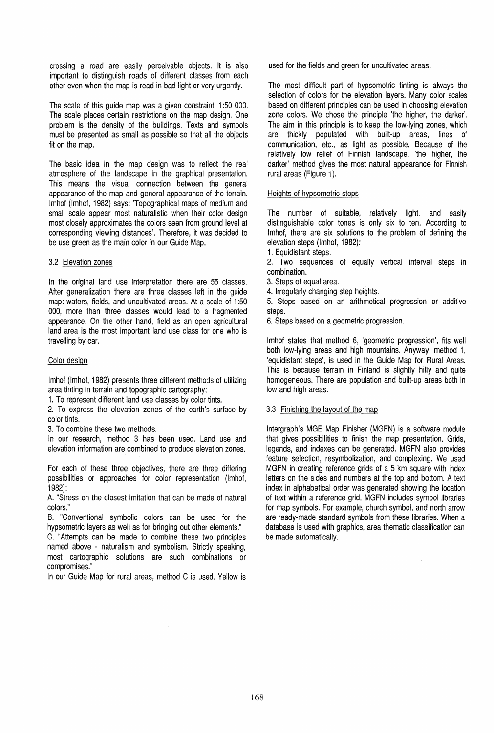crossing a road are easily perceivable objects. It is also important to distinguish roads of different classes from each other even when the map is read in bad light or very urgently.

The scale of this guide map was a given constraint, 1 :50 000. The scale places certain restrictions on the map design. One problem is the density of the buildings. Texts and symbols must be presented as small as possible so that all the objects fit on the map.

The basic idea in the map design was to reflect the real atmosphere of the landscape in the graphical presentation. This means the visual connection between the general appearance of the map and general appearance of the terrain. Imhof (Imhof, 1982) says: 'Topographical maps of medium and small scale appear most naturalistic when their color design most closely approximates the colors seen from ground level at corresponding viewing distances'. Therefore, it was decided to be use green as the main color in our Guide Map.

## 3.2 Elevation zones

In the original land use interpretation there are 55 classes. After generalization there are three classes left in the guide map: waters, fields, and uncultivated areas. At a scale of 1 :50 000, more than three classes would lead to a fragmented appearance. On the other hand, field as an open agricultural land area is the most important land use class for one who is travelling by car.

## Color design

Imhof (Imhof, 1982) presents three different methods of utilizing area tinting in terrain and topographic cartography:

1. To represent different land use classes by color tints.

2. To express the elevation zones of the earth's surface by color tints.

3. To combine these two methods.

In our research, method 3 has been used. Land use and elevation information are combined to produce elevation zones.

For each of these three objectives, there are three differing possibilities or approaches for color representation (Imhof, 1982):

A. "Stress on the closest imitation that can be made of natural colors."

B. "Conventional symbolic colors can be used for the hypsometric layers as well as for bringing out other elements."

C. "Attempts can be made to combine these two principles named above - naturalism and symbolism. Strictly speaking, most cartographic solutions are such combinations or compromises. "

In our Guide Map for rural areas, method C is used. Yellow is

used for the fields and green for uncultivated areas.

The most difficult part of hypsometric tinting is always the selection of colors for the elevation layers. Many color scales based on different principles can be used in choosing elevation zone colors. We chose the principle 'the higher, the darker', The aim in this principle is to keep the low-lying zones, which are thickly populated with built-up areas, lines of communication, etc., as light as possible. Because of the relatively low relief of Finnish landscape, 'the higher, the darker' method gives the most natural appearance for Finnish rural areas (Figure 1).

## Heights of hypsometric steps

The number of suitable, relatively light, and easily distinguishable color tones is only six to ten. According to Imhof, there are six solutions to the problem of defining the elevation steps (Imhof, 1982):

1. Equidistant steps.

2. Two sequences of equally vertical interval steps in combination.

- 3. Steps of equal area.
- 4. Irregularly changing step heights.

5. Steps based on an arithmetical progression or additive steps.

6. Steps based on a geometric progression.

Imhof states that method 6, 'geometric progression', fits well both low-lying areas and high mountains. Anyway, method 1, 'equidistant steps', is used in the Guide Map for Rural Areas. This is because terrain in Finland is slightly hilly and quite homogeneous. There are population and built-up areas both in low and high areas.

# 3.3 Finishing the layout of the map

Intergraph's MGE Map Finisher (MGFN) is a software module that gives possibilities to finish the map presentation. Grids, legends, and indexes can be generated. MGFN also provides feature selection, resymbolization, and complexing. We used MGFN in creating reference grids of a 5 km square with index letters on the sides and numbers at the top and bottom, A text index in alphabetical order was generated showing the location of text within a reference grid. MGFN includes symbol libraries for map symbols. For example, church symbol, and north arrow are ready-made standard symbols from these libraries. When a database is used with graphics, area thematic classification can be made automatically.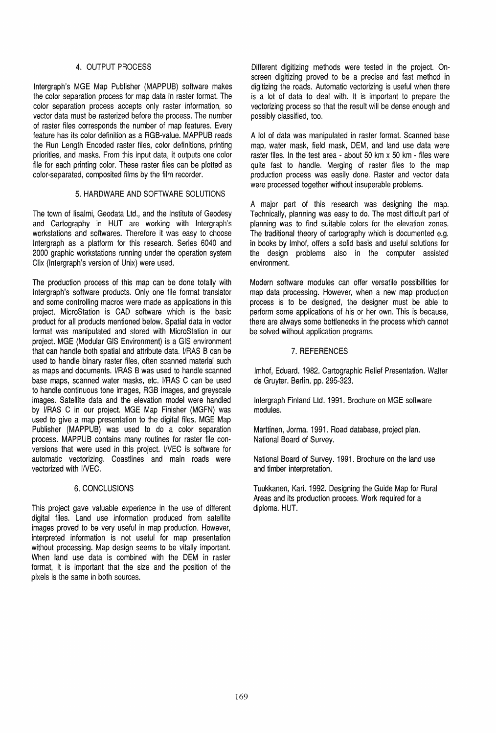## 4. OUTPUT PROCESS

Intergraph's MGE Map Publisher (MAPPUB) software makes the color separation process for map data in raster format. The color separation process accepts only raster information, so vector data must be rasterized before the process. The number of raster files corresponds the number of map features. Every feature has its color definition as a RGB-value. MAPPUB reads the Run Length Encoded raster files, color definitions, printing priorities, and masks. From this input data, it outputs one color file for each printing color. These raster files can be plotted as color-separated, composited films by the film recorder.

# 5. HARDWARE AND SOFTWARE SOLUTIONS

The town of lisalmi, Geodata Ltd., and the Institute of Geodesy and Cartography in HUT are working with Intergraph's workstations and softwares. Therefore it was easy to choose Intergraph as a platform for this research. Series 6040 and 2000 graphic workstations running under the operation system Clix (Intergraph's version of Unix) were used.

The production process of this map can be done totally with Intergraph's software products. Only one file format translator and some controlling macros were made as applications in this project. MicroStation is CAD software which is the basic product for all products mentioned below. Spatial data in vector format was manipulated and stored with MicroStation in our project. MGE (Modular GIS Environment) is a GIS environment that can handle both spatial and attribute data. I/RAS B can be used to handle binary raster files, often scanned material such as maps and documents. I/RAS B was used to handle scanned base maps, scanned water masks, etc. I/RAS C can be used to handle continuous tone images, RGB images, and greyscale images. Satellite data and the elevation model were handled by I/RAS C in our project. MGE Map Finisher (MGFN) was used to give a map presentation to the digital files. MGE Map Publisher (MAPPUB) was used to do a color separation process. MAPPUB contains many routines for raster file conversions that were used in this project. INEC is software for automatic vectorizing. Coastlines and main roads were vectorized with I/VEC.

#### 6. CONCLUSIONS

This project gave valuable experience in the use of different digital files. Land use information produced from satellite images proved to be very useful in map production. However, interpreted information is not useful for map presentation without processing. Map design seems to be vitally important. When land use data is combined with the DEM in raster format, it is important that the size and the position of the pixels is the same in both sources.

Different digitizing methods were tested in the project. Onscreen digitizing proved to be a precise and fast method in digitizing the roads. Automatic vectorizing is useful when there is a lot of data to deal with. It is important to prepare the vectorizing process so that the result will be dense enough and possibly classified, too.

A lot of data was manipulated in raster format. Scanned base map, water mask, field mask, DEM, and land use data were raster files. In the test area - about 50 km  $\times$  50 km - files were quite fast to handle. Merging of raster files to the map production process was easily done. Raster and vector data were processed together without insuperable problems.

A major part of this research was designing the map. Technically, planning was easy to do. The most difficult part of planning was to find suitable colors for the elevation zones. The traditional theory of cartography which is documented e.g. in books by Imhof, offers a solid basis and useful solutions for the design problems also in the computer assisted environment.

Modern software modules can offer versatile possibilities for map data processing. However, when a new map production process is to be designed, the designer must be able to perform some applications of his or her own. This is because, there are always some bottlenecks in the process which cannot be solved without application programs.

## 7. REFERENCES

Imhof, Eduard. 1982. Cartographic Relief Presentation. Walter de Gruyter. Berlin. pp. 295-323.

Intergraph Finland Ltd. 1991. Brochure on MGE software modules.

Marttinen, Jorma. 1991. Road database, project plan. National Board of Survey.

National Board of Survey. 1991. Brochure on the land use and timber interpretation.

Tuukkanen, Kari. 1992. Designing the Guide Map for Rural Areas and its production process. Work required for a diploma. HUT.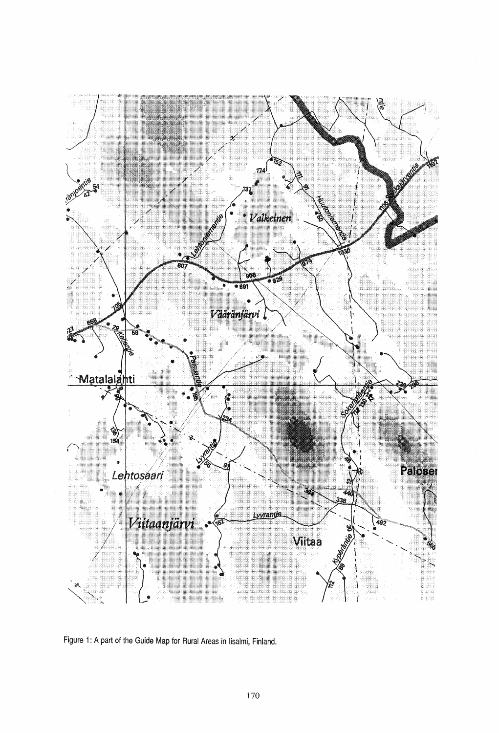

Figure 1: A part of the Guide Map for Rural Areas in lisalmi, Finland.